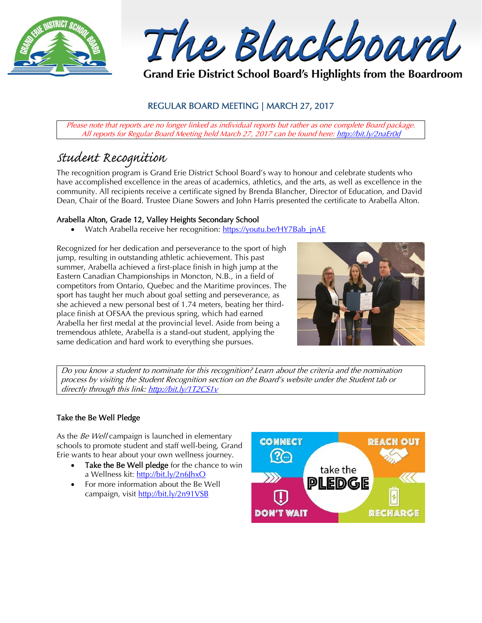

The Blackboard

Grand Erie District School Board's Highlights from the Boardroom

# REGULAR BOARD MEETING | MARCH 27, 2017

Please note that reports are no longer linked as individual reports but rather as one complete Board package. All reports for Regular Board Meeting held March 27, 2017 can be found here: <http://bit.ly/2naEr0d>

# *Student Recognition*

The recognition program is Grand Erie District School Board's way to honour and celebrate students who have accomplished excellence in the areas of academics, athletics, and the arts, as well as excellence in the community. All recipients receive a certificate signed by Brenda Blancher, Director of Education, and David Dean, Chair of the Board. Trustee Diane Sowers and John Harris presented the certificate to Arabella Alton.

# Arabella Alton, Grade 12, Valley Heights Secondary School

Watch Arabella receive her recognition: https://youtu.be/HY7Bab\_jnAE

Recognized for her dedication and perseverance to the sport of high jump, resulting in outstanding athletic achievement. This past summer, Arabella achieved a first-place finish in high jump at the Eastern Canadian Championships in Moncton, N.B., in a field of competitors from Ontario, Quebec and the Maritime provinces. The sport has taught her much about goal setting and perseverance, as she achieved a new personal best of 1.74 meters, beating her thirdplace finish at OFSAA the previous spring, which had earned Arabella her first medal at the provincial level. Aside from being a tremendous athlete, Arabella is a stand-out student, applying the same dedication and hard work to everything she pursues.



Do you know a student to nominate for this recognition? Learn about the criteria and the nomination process by visiting the Student Recognition section on the Board's website under the Student tab or directly through this link[: http://bit.ly/1T2CS1v](http://bit.ly/1T2CS1v)

# Take the Be Well Pledge

As the Be Well campaign is launched in elementary schools to promote student and staff well-being, Grand Erie wants to hear about your own wellness journey.

- Take the Be Well pledge for the chance to win a Wellness kit: <http://bit.ly/2n6JhxO>
- For more information about the Be Well campaign, visit<http://bit.ly/2n91VSB>

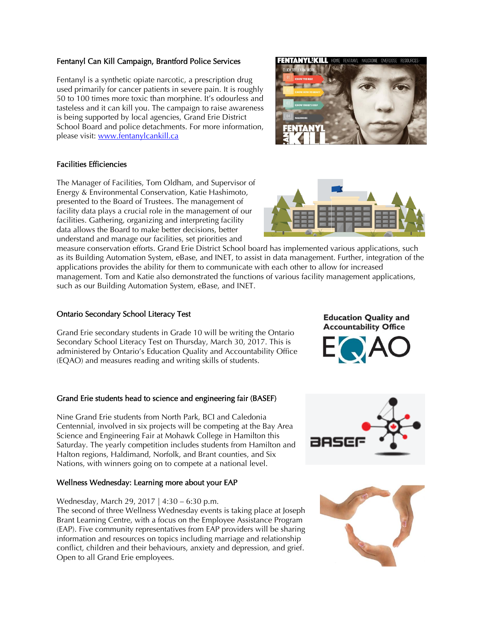# Fentanyl Can Kill Campaign, Brantford Police Services

Fentanyl is a synthetic opiate narcotic, a prescription drug used primarily for cancer patients in severe pain. It is roughly 50 to 100 times more toxic than morphine. It's odourless and tasteless and it can kill you. The campaign to raise awareness is being supported by local agencies, Grand Erie District School Board and police detachments. For more information, please visit: [www.fentanylcankill.ca](http://www.fentanylcankill.ca/) 

#### Facilities Efficiencies

The Manager of Facilities, Tom Oldham, and Supervisor of Energy & Environmental Conservation, Katie Hashimoto, presented to the Board of Trustees. The management of facility data plays a crucial role in the management of our facilities. Gathering, organizing and interpreting facility data allows the Board to make better decisions, better understand and manage our facilities, set priorities and

measure conservation efforts. Grand Erie District School board has implemented various applications, such as its Building Automation System, eBase, and INET, to assist in data management. Further, integration of the applications provides the ability for them to communicate with each other to allow for increased management. Tom and Katie also demonstrated the functions of various facility management applications, such as our Building Automation System, eBase, and INET.

# Ontario Secondary School Literacy Test

Grand Erie secondary students in Grade 10 will be writing the Ontario Secondary School Literacy Test on Thursday, March 30, 2017. This is administered by Ontario's Education Quality and Accountability Office (EQAO) and measures reading and writing skills of students.

# Grand Erie students head to science and engineering fair (BASEF)

Nine Grand Erie students from North Park, BCI and Caledonia Centennial, involved in six projects will be competing at the Bay Area Science and Engineering Fair at Mohawk College in Hamilton this Saturday. The yearly competition includes students from Hamilton and Halton regions, Haldimand, Norfolk, and Brant counties, and Six Nations, with winners going on to compete at a national level.

# Wellness Wednesday: Learning more about your EAP

#### Wednesday, March 29, 2017 | 4:30 – 6:30 p.m.

The second of three Wellness Wednesday events is taking place at Joseph Brant Learning Centre, with a focus on the Employee Assistance Program (EAP). Five community representatives from EAP providers will be sharing information and resources on topics including marriage and relationship conflict, children and their behaviours, anxiety and depression, and grief. Open to all Grand Erie employees.

**Education Quality and Accountability Office** 



BASE







**ENTANYLËKILL HOME**